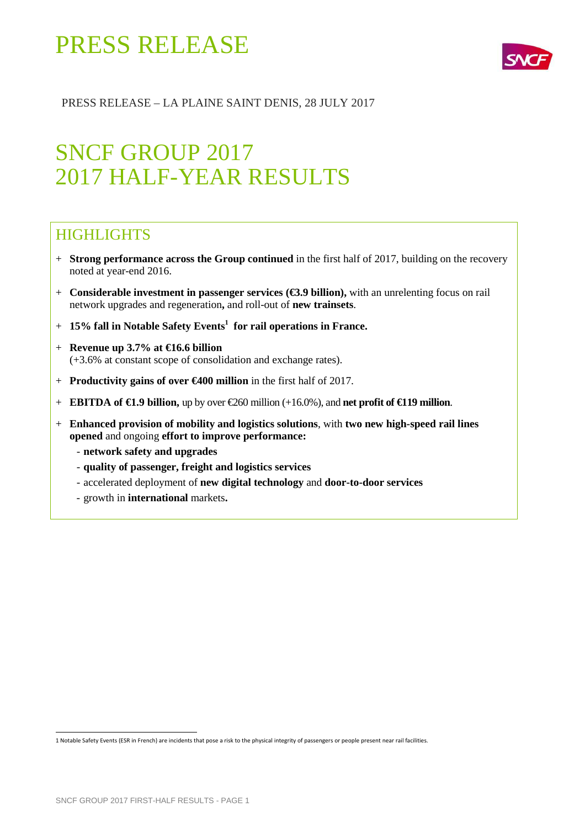

### PRESS RELEASE – LA PLAINE SAINT DENIS, 28 JULY 2017

## SNCF GROUP 2017 2017 HALF-YEAR RESULTS

### **HIGHLIGHTS**

- + **Strong performance across the Group continued** in the first half of 2017, building on the recovery noted at year-end 2016.
- + **Considerable investment in passenger services (€3.9 billion),** with an unrelenting focus on rail network upgrades and regeneration**,** and roll-out of **new trainsets**.
- + **15% fall in Notable Safety Events<sup>1</sup> for rail operations in France.**
- + **Revenue up 3.7% at €16.6 billion**  (+3.6% at constant scope of consolidation and exchange rates).
- + **Productivity gains of over €400 million** in the first half of 2017.
- + **EBITDA of €1.9 billion,** up by over €260 million (+16.0%), and **net profit of €119 million**.
- + **Enhanced provision of mobility and logistics solutions**, with **two new high-speed rail lines opened** and ongoing **effort to improve performance:** 
	- **network safety and upgrades**
	- **quality of passenger, freight and logistics services**
	- accelerated deployment of **new digital technology** and **door-to-door services**
	- growth in **international** markets**.**

 1 Notable Safety Events (ESR in French) are incidents that pose a risk to the physical integrity of passengers or people present near rail facilities.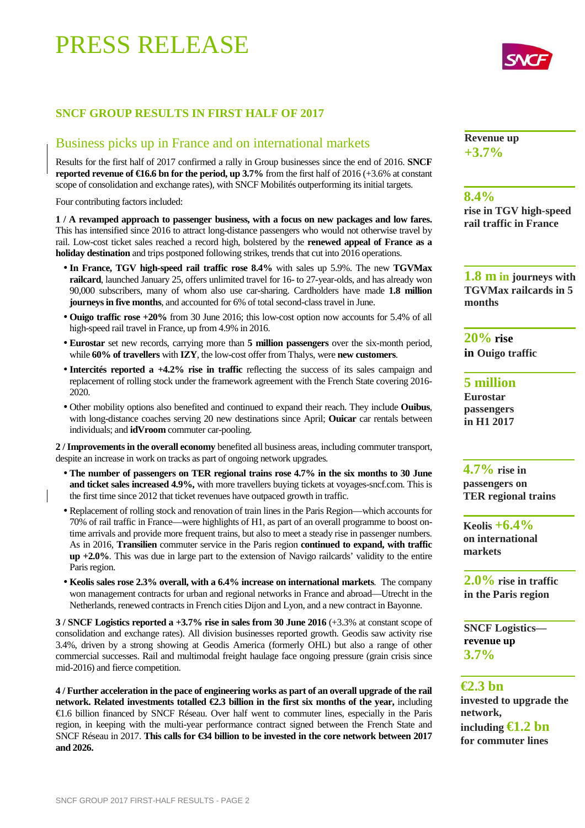### **SNCF GROUP RESULTS IN FIRST HALF OF 2017**

### Business picks up in France and on international markets

Results for the first half of 2017 confirmed a rally in Group businesses since the end of 2016. **SNCF reported revenue of**  $\epsilon$ **16.6 bn for the period, up 3.7% from the first half of 2016 (+3.6% at constant** scope of consolidation and exchange rates), with SNCF Mobilités outperforming its initial targets.

Four contributing factors included:

**1 / A revamped approach to passenger business, with a focus on new packages and low fares.**  This has intensified since 2016 to attract long-distance passengers who would not otherwise travel by rail. Low-cost ticket sales reached a record high, bolstered by the **renewed appeal of France as a holiday destination** and trips postponed following strikes, trends that cut into 2016 operations.

- **In France, TGV high-speed rail traffic rose 8.4%** with sales up 5.9%. The new **TGVMax railcard**, launched January 25, offers unlimited travel for 16- to 27-year-olds, and has already won 90,000 subscribers, many of whom also use car-sharing. Cardholders have made **1.8 million journeys in five months**, and accounted for 6% of total second-class travel in June.
- **Ouigo traffic rose +20%** from 30 June 2016; this low-cost option now accounts for 5.4% of all high-speed rail travel in France, up from 4.9% in 2016.
- **Eurostar** set new records, carrying more than **5 million passengers** over the six-month period, while **60% of travellers** with **IZY**, the low-cost offer from Thalys, were **new customers**.
- **Intercités reported a +4.2% rise in traffic** reflecting the success of its sales campaign and replacement of rolling stock under the framework agreement with the French State covering 2016- 2020.
- Other mobility options also benefited and continued to expand their reach. They include **Ouibus**, with long-distance coaches serving 20 new destinations since April; **Ouicar** car rentals between individuals; and **idVroom** commuter car-pooling.

**2 / Improvements in the overall economy** benefited all business areas, including commuter transport, despite an increase in work on tracks as part of ongoing network upgrades.

- **The number of passengers on TER regional trains rose 4.7% in the six months to 30 June and ticket sales increased 4.9%,** with more travellers buying tickets at voyages-sncf.com. This is the first time since 2012 that ticket revenues have outpaced growth in traffic.
- Replacement of rolling stock and renovation of train lines in the Paris Region—which accounts for 70% of rail traffic in France—were highlights of H1, as part of an overall programme to boost ontime arrivals and provide more frequent trains, but also to meet a steady rise in passenger numbers. As in 2016, **Transilien** commuter service in the Paris region **continued to expand, with traffic up +2.0%**. This was due in large part to the extension of Navigo railcards' validity to the entire Paris region.
- **Keolis sales rose 2.3% overall, with a 6.4% increase on international markets**. The company won management contracts for urban and regional networks in France and abroad—Utrecht in the Netherlands, renewed contracts in French cities Dijon and Lyon, and a new contract in Bayonne.

**3 / SNCF Logistics reported a +3.7% rise in sales from 30 June 2016** (+3.3% at constant scope of consolidation and exchange rates). All division businesses reported growth. Geodis saw activity rise 3.4%, driven by a strong showing at Geodis America (formerly OHL) but also a range of other commercial successes. Rail and multimodal freight haulage face ongoing pressure (grain crisis since mid-2016) and fierce competition.

**4 / Further acceleration in the pace of engineering works as part of an overall upgrade of the rail network. Related investments totalled €2.3 billion in the first six months of the year,** including €1.6 billion financed by SNCF Réseau. Over half went to commuter lines, especially in the Paris region, in keeping with the multi-year performance contract signed between the French State and SNCF Réseau in 2017. This calls for €34 billion to be invested in the ore network between 2017 **and 2026.**

**Revenue up +3.7%**

#### **8.4%**

**rise in TGV high-speed rail traffic in France**

**1.8 m in journeys with TGVMax railcards in 5 months** 

**20% rise in Ouigo traffic**

**5 million Eurostar passengers in H1 2017** 

**4.7% rise in passengers on TER regional trains**

**Keolis +6.4% on international markets** 

**2.0% rise in traffic in the Paris region** 

**SNCF Logistics revenue up 3.7%**

#### **€2.3 bn**

**invested to upgrade the network,** 

**including €1.2 bn for commuter lines** 

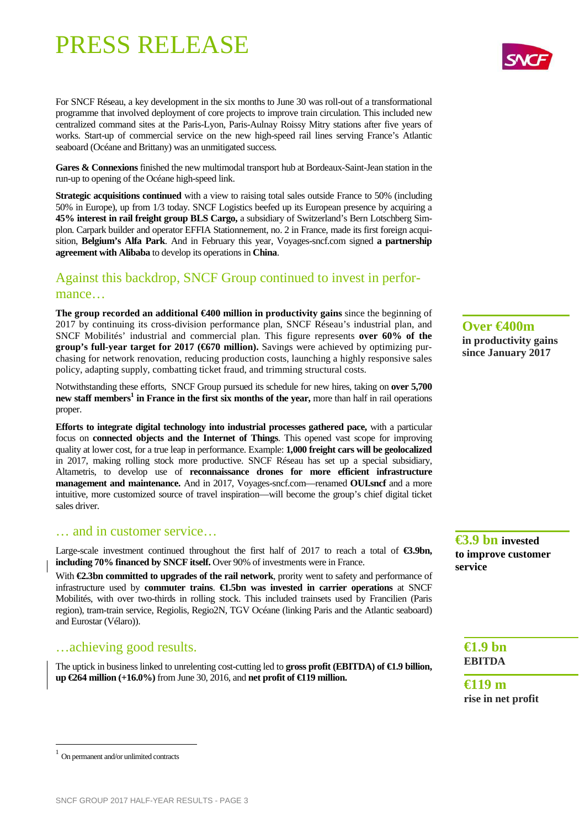For SNCF Réseau, a key development in the six months to June 30 was roll-out of a transformational programme that involved deployment of core projects to improve train circulation. This included new centralized command sites at the Paris-Lyon, Paris-Aulnay Roissy Mitry stations after five years of works. Start-up of commercial service on the new high-speed rail lines serving France's Atlantic seaboard (Océane and Brittany) was an unmitigated success.

Gares & Connexions finished the new multimodal transport hub at Bordeaux-Saint-Jean station in the run-up to opening of the Océane high-speed link.

**Strategic acquisitions continued** with a view to raising total sales outside France to 50% (including 50% in Europe), up from 1/3 today. SNCF Logistics beefed up its European presence by acquiring a **45% interest in rail freight group BLS Cargo,** a subsidiary of Switzerland's Bern Lotschberg Simplon. Carpark builder and operator EFFIA Stationnement, no. 2 in France, made its first foreign acquisition, **Belgium's Alfa Park**. And in February this year, Voyages-sncf.com signed **a partnership agreement with Alibaba** to develop its operations in **China**.

### Against this backdrop, SNCF Group continued to invest in performance…

**The group recorded an additional €400 million in productivity gains** since the beginning of 2017 by continuing its cross-division performance plan, SNCF Réseau's industrial plan, and SNCF Mobilités' industrial and commercial plan. This figure represents **over 60% of the group's full-year target for 2017 (€670 million).** Savings were achieved by optimizing purchasing for network renovation, reducing production costs, launching a highly responsive sales policy, adapting supply, combatting ticket fraud, and trimming structural costs.

Notwithstanding these efforts, SNCF Group pursued its schedule for new hires, taking on **over 5,700 new staff members<sup>1</sup> in France in the first six months of the year,** more than half in rail operations proper.

**Efforts to integrate digital technology into industrial processes gathered pace,** with a particular focus on **connected objects and the Internet of Things**. This opened vast scope for improving quality at lower cost, for a true leap in performance. Example: **1,000 freight cars will be geolocalized** in 2017, making rolling stock more productive. SNCF Réseau has set up a special subsidiary, Altametris, to develop use of **reconnaissance drones for more efficient infrastructure management and maintenance.** And in 2017, Voyages-sncf.com—renamed **OUI.sncf** and a more intuitive, more customized source of travel inspiration—will become the group's chief digital ticket sales driver.

#### … and in customer service…

Large-scale investment continued throughout the first half of 2017 to reach a total of **€3.9bn, including 70% financed by SNCF itself.** Over 90% of investments were in France.

With **€2.3bn committed to upgrades of the rail network**, prority went to safety and performance of infrastructure used by **commuter trains**. **€1.5bn was invested in carrier operations** at SNCF Mobilités, with over two-thirds in rolling stock. This included trainsets used by Francilien (Paris region), tram-train service, Regiolis, Regio2N, TGV Océane (linking Paris and the Atlantic seaboard) and Eurostar (Vélaro)).

#### …achieving good results.

The uptick in business linked to unrelenting cost-cutting led to **gross profit (EBITDA) of €1.9 billion, up €264 million (+16.0%)** from June 30, 2016, and **net profit of €119 million.**

**Over €400m in productivity gains since January 2017** 

**€3.9 bn invested to improve customer service**

**€1.9 bn EBITDA** 

**€119 m rise in net profit**

 $\overline{a}$ 



<sup>1</sup> On permanent and/or unlimited contracts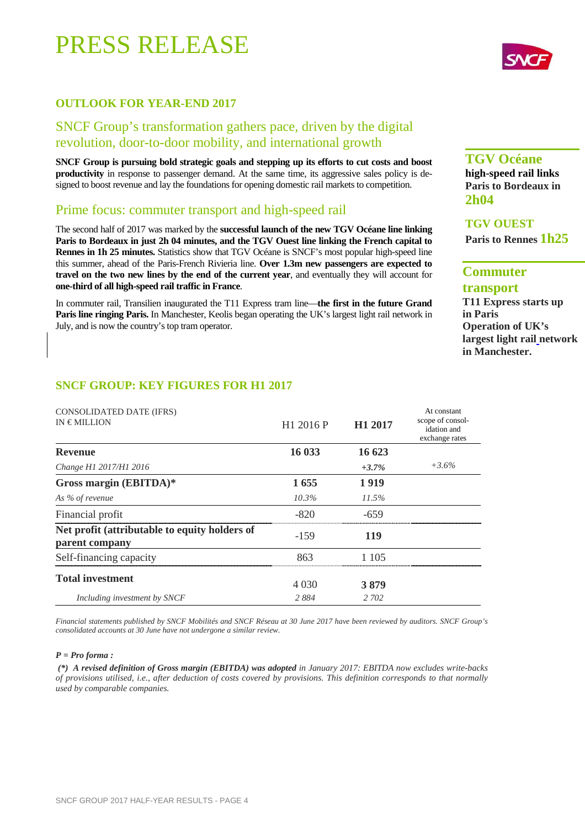#### **OUTLOOK FOR YEAR-END 2017**

### SNCF Group's transformation gathers pace, driven by the digital revolution, door-to-door mobility, and international growth

**SNCF Group is pursuing bold strategic goals and stepping up its efforts to cut costs and boost productivity** in response to passenger demand. At the same time, its aggressive sales policy is designed to boost revenue and lay the foundations for opening domestic rail markets to competition.

#### Prime focus: commuter transport and high-speed rail

The second half of 2017 was marked by the **successful launch of the new TGV Océane line linking Paris to Bordeaux in just 2h 04 minutes, and the TGV Ouest line linking the French capital to Rennes in 1h 25 minutes.** Statistics show that TGV Océane is SNCF's most popular high-speed line this summer, ahead of the Paris-French Rivieria line. **Over 1.3m new passengers are expected to travel on the two new lines by the end of the current year**, and eventually they will account for **one-third of all high-speed rail traffic in France**.

In commuter rail, Transilien inaugurated the T11 Express tram line—**the first in the future Grand Paris line ringing Paris.** In Manchester, Keolis began operating the UK's largest light rail network in July, and is now the country's top tram operator.

#### **TGV Océane**

**high-speed rail links Paris to Bordeaux in 2h04**

#### **TGV OUEST**

**Paris to Rennes 1h25** 

### **Commuter**

**transport** 

**T11 Express starts up in Paris Operation of UK's largest light rail network in Manchester.** 

#### **SNCF GROUP: KEY FIGURES FOR H1 2017**

| CONSOLIDATED DATE (IFRS)<br>$IN \in MILLION$                    | H1 2016 P | H <sub>1</sub> 2017 | At constant<br>scope of consol-<br>idation and<br>exchange rates |
|-----------------------------------------------------------------|-----------|---------------------|------------------------------------------------------------------|
| <b>Revenue</b>                                                  | 16 033    | 16 623              |                                                                  |
| Change H1 2017/H1 2016                                          |           | $+3.7\%$            | $+3.6%$                                                          |
| Gross margin (EBITDA)*                                          | 1655      | 1919                |                                                                  |
| As % of revenue                                                 | $10.3\%$  | 11.5%               |                                                                  |
| Financial profit                                                | $-820$    | -659                |                                                                  |
| Net profit (attributable to equity holders of<br>parent company | $-1.59$   | 119                 |                                                                  |
| Self-financing capacity                                         | 863       | 1 105               |                                                                  |
| <b>Total investment</b>                                         | 4 0 3 0   | 3879                |                                                                  |
| Including investment by SNCF                                    | 2884      | 2 702               |                                                                  |

*Financial statements published by SNCF Mobilités and SNCF Réseau at 30 June 2017 have been reviewed by auditors. SNCF Group's consolidated accounts at 30 June have not undergone a similar review.* 

#### *P = Pro forma :*

 *(\*) A revised definition of Gross margin (EBITDA) was adopted in January 2017: EBITDA now excludes write-backs of provisions utilised, i.e., after deduction of costs covered by provisions. This definition corresponds to that normally used by comparable companies.* 

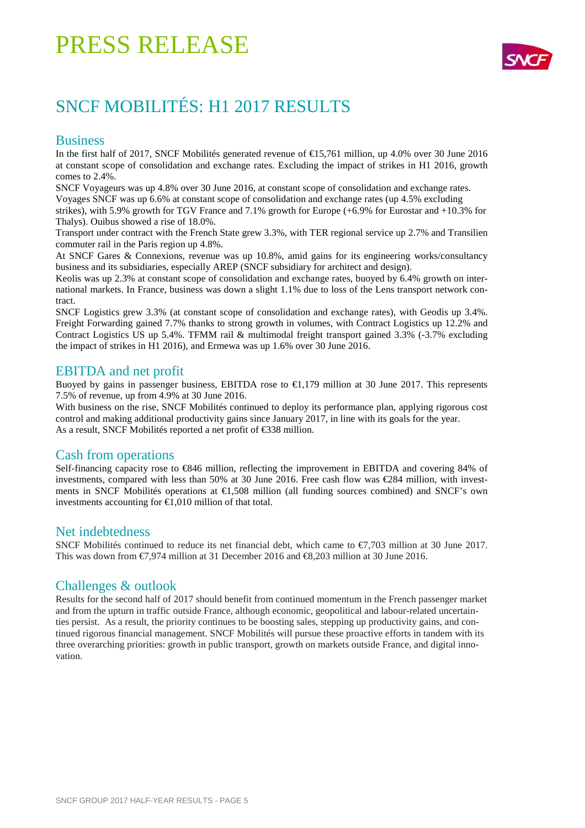

## SNCF MOBILITÉS: H1 2017 RESULTS

#### **Business**

In the first half of 2017, SNCF Mobilités generated revenue of €15,761 million, up 4.0% over 30 June 2016 at constant scope of consolidation and exchange rates. Excluding the impact of strikes in H1 2016, growth comes to 2.4%.

SNCF Voyageurs was up 4.8% over 30 June 2016, at constant scope of consolidation and exchange rates. Voyages SNCF was up 6.6% at constant scope of consolidation and exchange rates (up 4.5% excluding

strikes), with 5.9% growth for TGV France and 7.1% growth for Europe (+6.9% for Eurostar and +10.3% for Thalys). Ouibus showed a rise of 18.0%.

Transport under contract with the French State grew 3.3%, with TER regional service up 2.7% and Transilien commuter rail in the Paris region up 4.8%.

At SNCF Gares & Connexions, revenue was up 10.8%, amid gains for its engineering works/consultancy business and its subsidiaries, especially AREP (SNCF subsidiary for architect and design).

Keolis was up 2.3% at constant scope of consolidation and exchange rates, buoyed by 6.4% growth on international markets. In France, business was down a slight 1.1% due to loss of the Lens transport network contract.

SNCF Logistics grew 3.3% (at constant scope of consolidation and exchange rates), with Geodis up 3.4%. Freight Forwarding gained 7.7% thanks to strong growth in volumes, with Contract Logistics up 12.2% and Contract Logistics US up 5.4%. TFMM rail & multimodal freight transport gained 3.3% (-3.7% excluding the impact of strikes in H1 2016), and Ermewa was up 1.6% over 30 June 2016.

#### EBITDA and net profit

Buoyed by gains in passenger business, EBITDA rose to  $\epsilon$ 1,179 million at 30 June 2017. This represents 7.5% of revenue, up from 4.9% at 30 June 2016.

With business on the rise, SNCF Mobilités continued to deploy its performance plan, applying rigorous cost control and making additional productivity gains since January 2017, in line with its goals for the year. As a result, SNCF Mobilités reported a net profit of €338 million.

### Cash from operations

Self-financing capacity rose to €846 million, reflecting the improvement in EBITDA and covering 84% of investments, compared with less than 50% at 30 June 2016. Free cash flow was  $\epsilon$ 284 million, with investments in SNCF Mobilités operations at  $\epsilon$ 1,508 million (all funding sources combined) and SNCF's own investments accounting for  $\epsilon$ 1.010 million of that total.

#### Net indebtedness

SNCF Mobilités continued to reduce its net financial debt, which came to €7,703 million at 30 June 2017. This was down from €7,974 million at 31 December 2016 and €8,203 million at 30 June 2016.

#### Challenges & outlook

Results for the second half of 2017 should benefit from continued momentum in the French passenger market and from the upturn in traffic outside France, although economic, geopolitical and labour-related uncertainties persist. As a result, the priority continues to be boosting sales, stepping up productivity gains, and continued rigorous financial management. SNCF Mobilités will pursue these proactive efforts in tandem with its three overarching priorities: growth in public transport, growth on markets outside France, and digital innovation.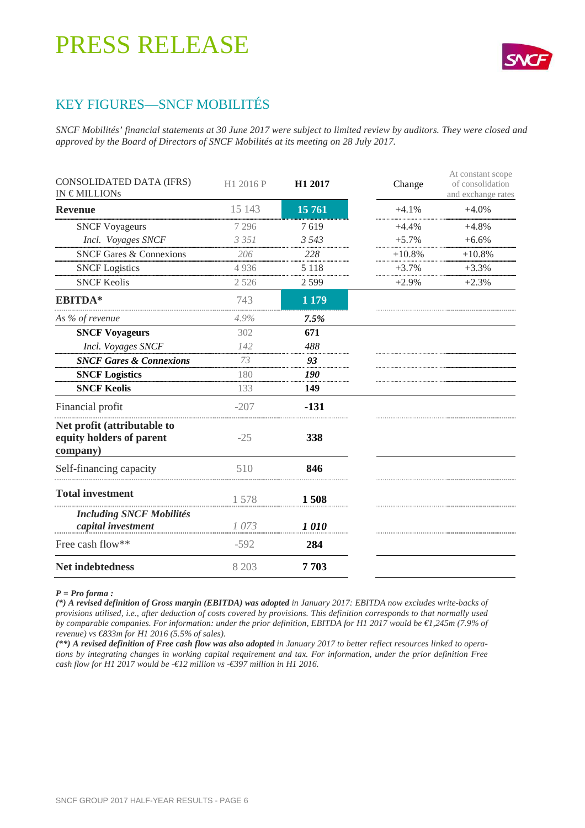

### KEY FIGURES—SNCF MOBILITÉS

*SNCF Mobilités' financial statements at 30 June 2017 were subject to limited review by auditors. They were closed and approved by the Board of Directors of SNCF Mobilités at its meeting on 28 July 2017.* 

| CONSOLIDATED DATA (IFRS)<br>IN $\in$ MILLIONs                       | H1 2016 P | H1 2017 | Change   | At constant scope<br>of consolidation<br>and exchange rates |
|---------------------------------------------------------------------|-----------|---------|----------|-------------------------------------------------------------|
| <b>Revenue</b>                                                      | 15 143    | 15 761  | $+4.1%$  | $+4.0%$                                                     |
| <b>SNCF Voyageurs</b>                                               | 7 2 9 6   | 7619    | $+4.4%$  | $+4.8%$                                                     |
| Incl. Voyages SNCF                                                  | 3 3 5 1   | 3 5 4 3 | $+5.7%$  | $+6.6%$                                                     |
| <b>SNCF Gares &amp; Connexions</b>                                  | 206       | 228     | $+10.8%$ | $+10.8%$                                                    |
| <b>SNCF</b> Logistics                                               | 4936      | 5 1 1 8 | $+3.7%$  | $+3.3%$                                                     |
| <b>SNCF Keolis</b>                                                  | 2 5 2 6   | 2599    | $+2.9%$  | $+2.3%$                                                     |
| <b>EBITDA*</b>                                                      | 743       | 1 1 7 9 |          |                                                             |
| As % of revenue                                                     | 4.9%      | 7.5%    |          |                                                             |
| <b>SNCF Voyageurs</b>                                               | 302       | 671     |          |                                                             |
| Incl. Voyages SNCF                                                  | 142       | 488     |          |                                                             |
| <b>SNCF Gares &amp; Connexions</b>                                  | 73        | 93      |          |                                                             |
| <b>SNCF Logistics</b>                                               | 180       | 190     |          |                                                             |
| <b>SNCF Keolis</b>                                                  | 133       | 149     |          |                                                             |
| Financial profit                                                    | $-207$    | $-131$  |          |                                                             |
| Net profit (attributable to<br>equity holders of parent<br>company) | $-25$     | 338     |          |                                                             |
| Self-financing capacity                                             | 510       | 846     |          |                                                             |
| <b>Total investment</b>                                             | 1578      | 1508    |          |                                                             |
| <b>Including SNCF Mobilités</b><br>capital investment               | 1073      | 1010    |          |                                                             |
| Free cash flow**                                                    | $-592$    | 284     |          |                                                             |
| Net indebtedness                                                    | 8 203     | 7703    |          |                                                             |

#### *P = Pro forma :*

*(\*) A revised definition of Gross margin (EBITDA) was adopted in January 2017: EBITDA now excludes write-backs of provisions utilised, i.e., after deduction of costs covered by provisions. This definition corresponds to that normally used by comparable companies. For information: under the prior definition, EBITDA for H1 2017 would be €1,245m (7.9% of revenue) vs €833m for H1 2016 (5.5% of sales).* 

*(\*\*) A revised definition of Free cash flow was also adopted in January 2017 to better reflect resources linked to operations by integrating changes in working capital requirement and tax. For information, under the prior definition Free cash flow for H1 2017 would be -€12 million vs -€397 million in H1 2016.*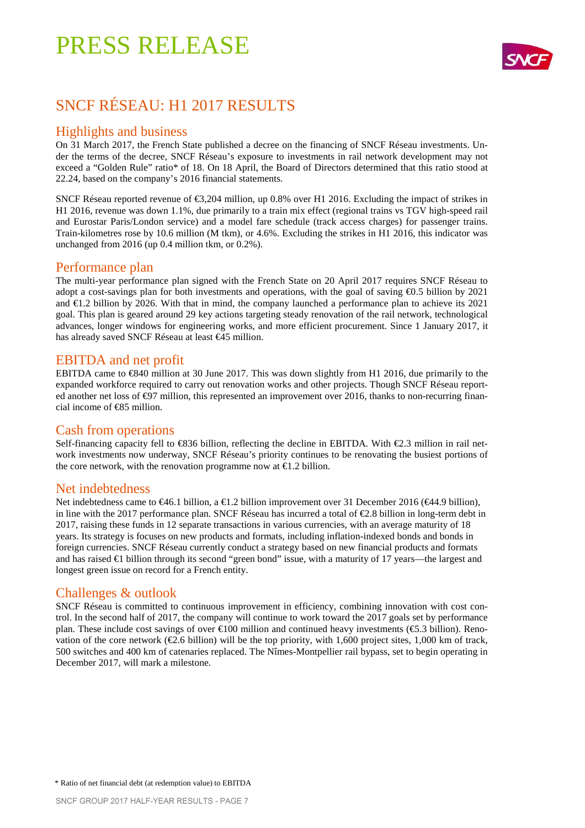

## SNCF RÉSEAU: H1 2017 RESULTS

### Highlights and business

On 31 March 2017, the French State published a decree on the financing of SNCF Réseau investments. Under the terms of the decree, SNCF Réseau's exposure to investments in rail network development may not exceed a "Golden Rule" ratio\* of 18. On 18 April, the Board of Directors determined that this ratio stood at 22.24, based on the company's 2016 financial statements.

SNCF Réseau reported revenue of €3,204 million, up0.8% over H1 2016. Excluding the impact of strikes in H1 2016, revenue was down 1.1%, due primarily to a train mix effect (regional trains vs TGV high-speed rail and Eurostar Paris/London service) and a model fare schedule (track access charges) for passenger trains. Train-kilometres rose by 10.6 million (M tkm), or 4.6%. Excluding the strikes in H1 2016, this indicator was unchanged from 2016 (up 0.4 million tkm, or 0.2%).

#### Performance plan

The multi-year performance plan signed with the French State on 20 April 2017 requires SNCF Réseau to adopt a cost-savings plan for both investments and operations, with the goal of saving  $\epsilon$ 0.5 billion by 2021 and  $\epsilon$ 1.2 billion by 2026. With that in mind, the company launched a performance plan to achieve its 2021 goal. This plan is geared around 29 key actions targeting steady renovation of the rail network, technological advances, longer windows for engineering works, and more efficient procurement. Since 1 January 2017, it has already saved SNCF Réseau at least €45 million.

#### EBITDA and net profit

EBITDA came to €840 million at 30 June 2017. This was down slightly from H1 2016, due primarily to the expanded workforce required to carry out renovation works and other projects. Though SNCF Réseau reported another net loss of €97 million, this represented an improvement over 2016, thanks to non-recurring financial income of €85 million.

#### Cash from operations

Self-financing capacity fell to  $\in$ 836 billion, reflecting the decline in EBITDA. With  $\in$ 2.3 million in rail network investments now underway, SNCF Réseau's priority continues to be renovating the busiest portions of the core network, with the renovation programme now at  $\epsilon$ 1.2 billion.

#### Net indebtedness

Net indebtedness came to  $\in$ 46.1 billion, a  $\in$ 1.2 billion improvement over 31 December 2016 ( $\in$ 44.9 billion), in line with the 2017 performance plan. SNCF Réseau has incurred a total of  $\epsilon$ 2.8 billion in long-term debt in 2017, raising these funds in 12 separate transactions in various currencies, with an average maturity of 18 years. Its strategy is focuses on new products and formats, including inflation-indexed bonds and bonds in foreign currencies. SNCF Réseau currently conduct a strategy based on new financial products and formats and has raised €1 billion through its second "green bond" issue, with a maturity of 17 years—the largest and longest green issue on record for a French entity.

#### Challenges & outlook

SNCF Réseau is committed to continuous improvement in efficiency, combining innovation with cost control. In the second half of 2017, the company will continue to work toward the 2017 goals set by performance plan. These include cost savings of over €100 million and continued heavy investments (€5.3 billion). Renovation of the core network ( $\epsilon$ 2.6 billion) will be the top priority, with 1,600 project sites, 1,000 km of track, 500 switches and 400 km of catenaries replaced. The Nîmes-Montpellier rail bypass, set to begin operating in December 2017, will mark a milestone.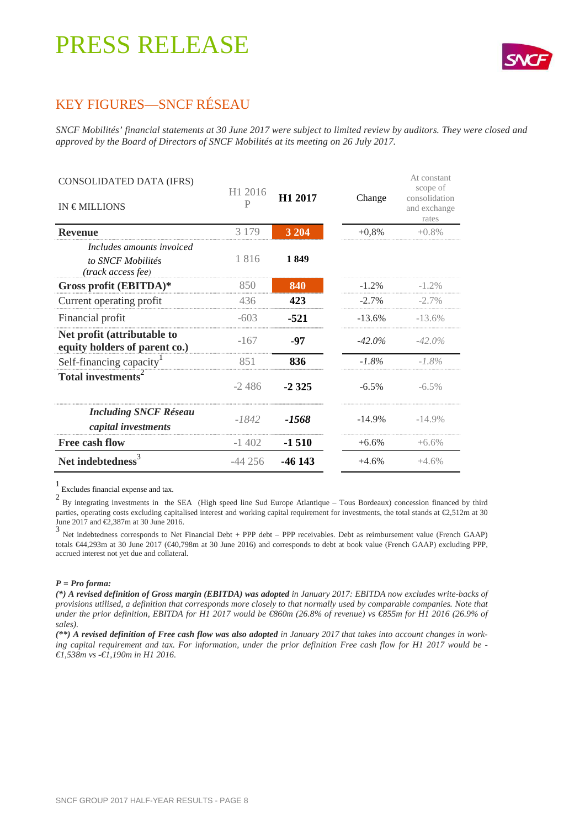

### KEY FIGURES—SNCF RÉSEAU

*SNCF Mobilités' financial statements at 30 June 2017 were subject to limited review by auditors. They were closed and approved by the Board of Directors of SNCF Mobilités at its meeting on 26 July 2017.* 

| CONSOLIDATED DATA (IFRS)                                             |                          |                     |           | At constant<br>scope of                |
|----------------------------------------------------------------------|--------------------------|---------------------|-----------|----------------------------------------|
| IN $\epsilon$ MILLIONS                                               | H <sub>1</sub> 2016<br>P | H <sub>1</sub> 2017 | Change    | consolidation<br>and exchange<br>rates |
| <b>Revenue</b>                                                       | 3 1 7 9                  | 3 2 0 4             | $+0,8%$   | $+0.8\%$                               |
| Includes amounts invoiced<br>to SNCF Mobilités<br>(track access fee) | 1816                     | 1849                |           |                                        |
| Gross profit (EBITDA)*                                               | 850                      | 840                 | $-1.2%$   | $-1.2\%$                               |
| Current operating profit                                             | 436                      | 423                 | $-2.7\%$  | $-2.7\%$                               |
| Financial profit                                                     | $-603$                   | $-521$              | $-13.6%$  | $-13.6%$                               |
| Net profit (attributable to<br>equity holders of parent co.)         | $-167$                   | -97                 | $-42.0\%$ | $-42.0\%$                              |
| Self-financing capacity <sup>1</sup>                                 | 851                      | 836                 | $-1.8%$   | $-1.8\%$                               |
| Total investments <sup>2</sup>                                       | $-2,486$                 | $-2325$             | $-6.5%$   | $-6.5\%$                               |
| <b>Including SNCF Réseau</b><br>capital investments                  | $-1842$                  | $-1568$             | $-14.9%$  | $-14.9%$                               |
| <b>Free cash flow</b>                                                | $-1402$                  | $-1510$             | $+6.6%$   | $+6.6\%$                               |
| Net indebtedness <sup>3</sup>                                        | $-44256$                 | $-46143$            | $+4.6%$   | $+4.6%$                                |

1 Excludes financial expense and tax.

<sup>2</sup> By integrating investments in the SEA (High speed line Sud Europe Atlantique – Tous Bordeaux) concession financed by third parties, operating costs excluding capitalised interest and working capital requirement for investments, the total stands at €2,512m at 30 June 2017 and €2,387m at 30 June 2016.

3 Net indebtedness corresponds to Net Financial Debt + PPP debt – PPP receivables. Debt as reimbursement value (French GAAP) totals €44,293m at 30 June 2017 (€40,798m at 30 June 2016) and corresponds to debt at book value (French GAAP) excluding PPP, accrued interest not yet due and collateral.

#### *P = Pro forma:*

*(\*) A revised definition of Gross margin (EBITDA) was adopted in January 2017: EBITDA now excludes write-backs of provisions utilised, a definition that corresponds more closely to that normally used by comparable companies. Note that under the prior definition, EBITDA for H1 2017 would be* €860m (26.8% of revenue) vs €855m for H1 2016 (26.9% of *sales).* 

(\*\*) A revised definition of Free cash flow was also adopted in January 2017 that takes into account changes in work*ing capital requirement and tax. For information, under the prior definition Free cash flow for H1 2017 would be - €1,538m vs -€1,190m in H1 2016.*